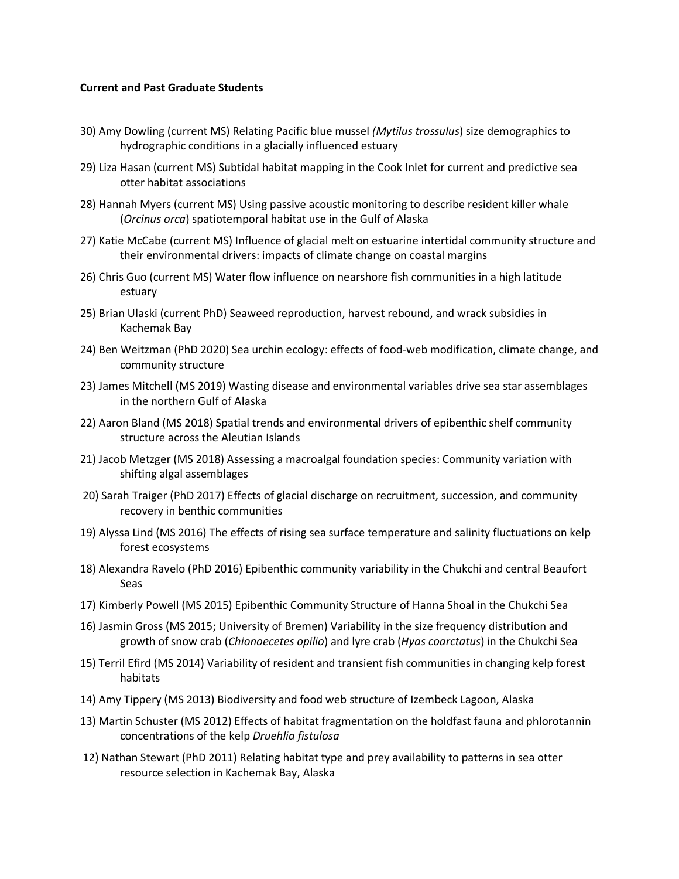## **Current and Past Graduate Students**

- 30) Amy Dowling (current MS) Relating Pacific blue mussel *(Mytilus trossulus*) size demographics to hydrographic conditions in a glacially influenced estuary
- 29) Liza Hasan (current MS) Subtidal habitat mapping in the Cook Inlet for current and predictive sea otter habitat associations
- 28) Hannah Myers (current MS) Using passive acoustic monitoring to describe resident killer whale (*Orcinus orca*) spatiotemporal habitat use in the Gulf of Alaska
- 27) Katie McCabe (current MS) Influence of glacial melt on estuarine intertidal community structure and their environmental drivers: impacts of climate change on coastal margins
- 26) Chris Guo (current MS) Water flow influence on nearshore fish communities in a high latitude estuary
- 25) Brian Ulaski (current PhD) Seaweed reproduction, harvest rebound, and wrack subsidies in Kachemak Bay
- 24) Ben Weitzman (PhD 2020) Sea urchin ecology: effects of food-web modification, climate change, and community structure
- 23) James Mitchell (MS 2019) Wasting disease and environmental variables drive sea star assemblages in the northern Gulf of Alaska
- 22) Aaron Bland (MS 2018) Spatial trends and environmental drivers of epibenthic shelf community structure across the Aleutian Islands
- 21) Jacob Metzger (MS 2018) Assessing a macroalgal foundation species: Community variation with shifting algal assemblages
- 20) Sarah Traiger (PhD 2017) Effects of glacial discharge on recruitment, succession, and community recovery in benthic communities
- 19) Alyssa Lind (MS 2016) The effects of rising sea surface temperature and salinity fluctuations on kelp forest ecosystems
- 18) Alexandra Ravelo (PhD 2016) Epibenthic community variability in the Chukchi and central Beaufort Seas
- 17) Kimberly Powell (MS 2015) Epibenthic Community Structure of Hanna Shoal in the Chukchi Sea
- 16) Jasmin Gross (MS 2015; University of Bremen) Variability in the size frequency distribution and growth of snow crab (*Chionoecetes opilio*) and lyre crab (*Hyas coarctatus*) in the Chukchi Sea
- 15) Terril Efird (MS 2014) Variability of resident and transient fish communities in changing kelp forest habitats
- 14) Amy Tippery (MS 2013) Biodiversity and food web structure of Izembeck Lagoon, Alaska
- 13) Martin Schuster (MS 2012) Effects of habitat fragmentation on the holdfast fauna and phlorotannin concentrations of the kelp *Druehlia fistulosa*
- 12) Nathan Stewart (PhD 2011) Relating habitat type and prey availability to patterns in sea otter resource selection in Kachemak Bay, Alaska